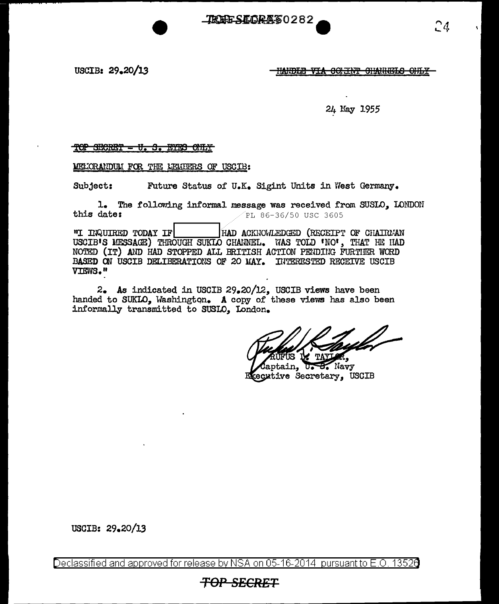**TREESEORA60282** 

USCIB: 29.20/13

HANDLE VIA CONTAT CHANNELS OFLY

## 24 May 1955

## TOP SECRET - U. S. EYES ONLY

MELORANDUM FOR THE MEMBERS OF USCIB:

Subject: Future Status of U.K. Sigint Units in West Germany.

1. The following informal message was received from SUSLO, LONDON this date: PL 86-36/50 USC 3605

"I INQUIRED TODAY IF HAD ACKNOWLEDGED (RECEIPT OF CHAIRMAN USCIB'S MESSAGE) THROUGH SUKIO CHANNEL. WAS TOLD 'NO', THAT HE HAD NOTED (IT) AND HAD STOPPED ALL BRITISH ACTION PENDING FURTIER WORD BASED ON USCIB DELIBERATIONS OF 20 MAY. INTERESTED RECEIVE USCIB VIEWS."

2. As indicated in USCIB 29.20/12, USCIB views have been handed to SUKLO. Washington. A copy of these views has also been informally transmitted to SUSLO. London.

<u>iff</u>

**B.** Navy tain. Executive Secretary, USCIB

USCIB: 29.20/13

Declassified and approved for release by NSA on 05-16-2014 pursuant to E.O. 13526

# <del>TOP SECRET</del>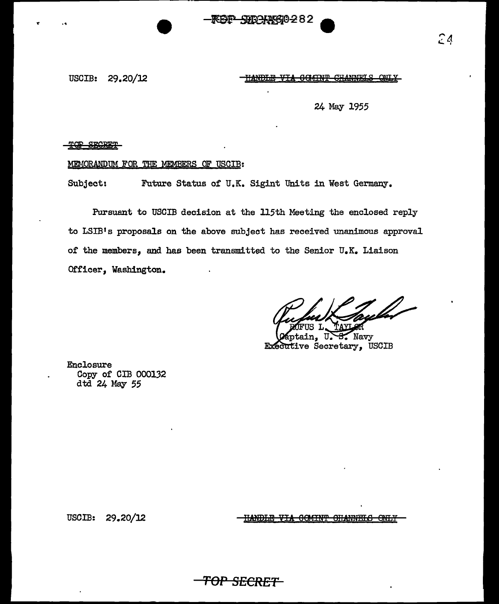SUBAAX610-282

USCIB: 29.20/12

HANDLE VIA COMINT CHANNELS

24 May 1955

#### TOP SECRET

..

### MEMORANDUM FOR THE MEMBERS OF USCIB:

Subject: Future Status of U.K. Sigint Units in West Germany.

Pursuant to USCIB decision at the 115th Meeting the enclosed reply to LSIB<sup>1</sup> s proposals on the above subject has received unanimous approval of the members, and has been transmitted to the Senior U.K. Liaison Officer, Washington.

**TOP SECRET** 

Navy n, Executive Secretary, USCIB

Enclosure Copy of CIB 000132 dtd 24 May *55* 

USCIB: 29.20/12

<u>HANDIE VIA OCMINT OHANNELS</u> <del>one i</del>  $24$